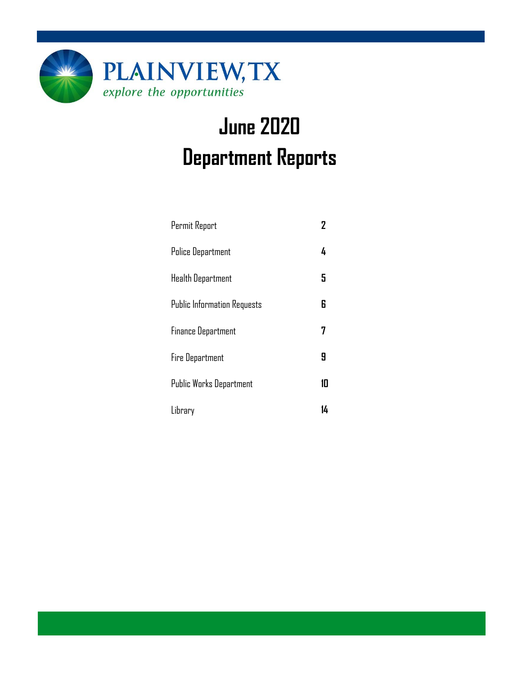

# **June 2020 Department Reports**

| Permit Report                      | $\overline{2}$ |
|------------------------------------|----------------|
| <b>Police Department</b>           | 4              |
| <b>Health Department</b>           | 5              |
| <b>Public Information Requests</b> | 6              |
| <b>Finance Department</b>          |                |
| <b>Fire Department</b>             | Я              |
| <b>Public Works Department</b>     | 10             |
| Library                            | 14             |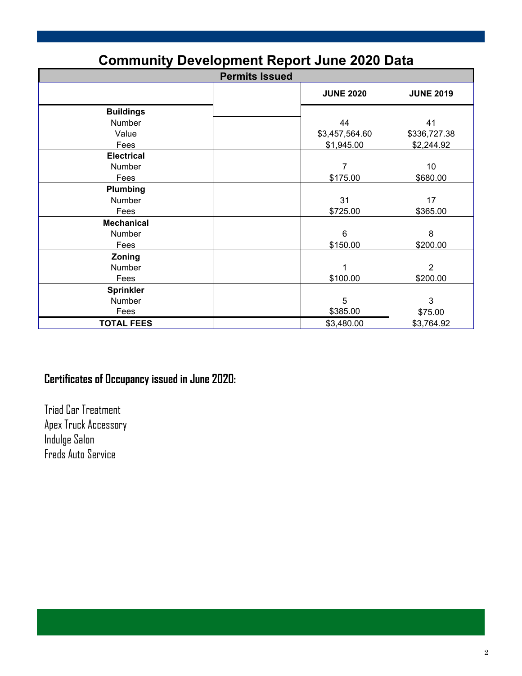| Community Development Report June 2020 Data |                       |                  |  |  |  |  |
|---------------------------------------------|-----------------------|------------------|--|--|--|--|
|                                             | <b>Permits Issued</b> |                  |  |  |  |  |
|                                             | <b>JUNE 2020</b>      | <b>JUNE 2019</b> |  |  |  |  |
| <b>Buildings</b>                            |                       |                  |  |  |  |  |
| Number                                      | 44                    | 41               |  |  |  |  |
| Value                                       | \$3,457,564.60        | \$336,727.38     |  |  |  |  |
| Fees                                        | \$1,945.00            | \$2,244.92       |  |  |  |  |
| <b>Electrical</b>                           |                       |                  |  |  |  |  |
| Number                                      | 7                     | 10               |  |  |  |  |
| Fees                                        | \$175.00              | \$680.00         |  |  |  |  |
| Plumbing                                    |                       |                  |  |  |  |  |
| Number                                      | 31                    | 17               |  |  |  |  |
| Fees                                        | \$725.00              | \$365.00         |  |  |  |  |
| <b>Mechanical</b>                           |                       |                  |  |  |  |  |
| Number                                      | $6\phantom{1}$        | 8                |  |  |  |  |
| Fees                                        | \$150.00              | \$200.00         |  |  |  |  |
| Zoning                                      |                       |                  |  |  |  |  |
| Number                                      | 1                     | $\overline{2}$   |  |  |  |  |
| Fees                                        | \$100.00              | \$200.00         |  |  |  |  |
| <b>Sprinkler</b>                            |                       |                  |  |  |  |  |
| Number                                      | 5                     | 3                |  |  |  |  |
| Fees                                        | \$385.00              | \$75.00          |  |  |  |  |
| <b>TOTAL FEES</b>                           | \$3,480.00            | \$3,764.92       |  |  |  |  |

### **Community Development Report June 2020 Data**

### **Certificates of Occupancy issued in June 2020:**

Triad Car Treatment Apex Truck Accessory Indulge Salon Freds Auto Service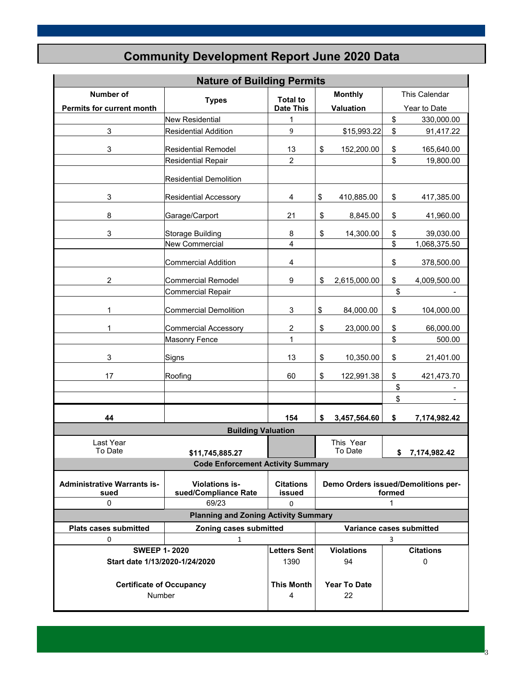| <b>Nature of Building Permits</b>          |                                             |                            |    |                          |        |                                     |
|--------------------------------------------|---------------------------------------------|----------------------------|----|--------------------------|--------|-------------------------------------|
| Number of                                  | <b>Types</b>                                | <b>Total to</b>            |    | <b>Monthly</b>           |        | This Calendar                       |
| Permits for current month                  |                                             | <b>Date This</b>           |    | Valuation                |        | Year to Date                        |
|                                            | <b>New Residential</b>                      | 1                          |    |                          | \$     | 330,000.00                          |
| 3                                          | <b>Residential Addition</b>                 | 9                          |    | \$15,993.22              | \$     | 91,417.22                           |
| 3                                          | <b>Residential Remodel</b>                  | 13                         | \$ | 152,200.00               | \$     | 165,640.00                          |
|                                            | <b>Residential Repair</b>                   | $\overline{c}$             |    |                          | \$     | 19,800.00                           |
|                                            | <b>Residential Demolition</b>               |                            |    |                          |        |                                     |
| 3                                          | <b>Residential Accessory</b>                | 4                          | \$ | 410,885.00               | \$     | 417,385.00                          |
| 8                                          | Garage/Carport                              | 21                         | \$ | 8,845.00                 | \$     | 41,960.00                           |
| 3                                          | <b>Storage Building</b>                     | $\bf 8$                    | \$ | 14,300.00                | \$     | 39,030.00                           |
|                                            | <b>New Commercial</b>                       | $\overline{4}$             |    |                          | \$     | 1,068,375.50                        |
|                                            | <b>Commercial Addition</b>                  | $\overline{4}$             |    |                          | \$     | 378,500.00                          |
|                                            |                                             |                            |    |                          |        |                                     |
| 2                                          | Commercial Remodel                          | 9                          | \$ | 2,615,000.00             | \$     | 4,009,500.00                        |
|                                            | <b>Commercial Repair</b>                    |                            |    |                          | \$     |                                     |
| 1                                          | <b>Commercial Demolition</b>                | $\mathsf 3$                | \$ | 84,000.00                | \$     | 104,000.00                          |
| 1                                          | <b>Commercial Accessory</b>                 | 2                          | \$ | 23,000.00                | \$     | 66,000.00                           |
| <b>Masonry Fence</b>                       |                                             | 1                          |    |                          | \$     | 500.00                              |
| 3                                          | Signs                                       |                            | \$ | 10,350.00                | \$     | 21,401.00                           |
| 17                                         | Roofing                                     | 60                         | \$ | 122,991.38               | \$     | 421,473.70                          |
|                                            |                                             |                            |    |                          | \$     |                                     |
|                                            |                                             |                            |    |                          | \$     |                                     |
| 44                                         |                                             | 154                        | \$ | 3,457,564.60             | \$     | 7,174,982.42                        |
|                                            | <b>Building Valuation</b>                   |                            |    |                          |        |                                     |
| Last Year                                  |                                             |                            |    | This Year                |        |                                     |
| To Date                                    | \$11,745,885.27                             |                            |    | To Date                  |        | \$7,174,982.42                      |
|                                            | <b>Code Enforcement Activity Summary</b>    |                            |    |                          |        |                                     |
| <b>Administrative Warrants is-</b><br>sued | Violations is-<br>sued/Compliance Rate      | <b>Citations</b><br>issued |    |                          | formed | Demo Orders issued/Demolitions per- |
| 0                                          | 69/23                                       | 0                          | 1  |                          |        |                                     |
|                                            | <b>Planning and Zoning Activity Summary</b> |                            |    |                          |        |                                     |
| <b>Plats cases submitted</b>               | Zoning cases submitted                      |                            |    | Variance cases submitted |        |                                     |
| 0                                          | $\mathbf{1}$                                |                            |    |                          | 3      |                                     |
| <b>SWEEP 1-2020</b>                        |                                             | <b>Letters Sent</b>        |    | <b>Violations</b>        |        | <b>Citations</b>                    |
| Start date 1/13/2020-1/24/2020             |                                             | 1390                       |    | 94                       |        | $\mathbf 0$                         |
|                                            |                                             |                            |    |                          |        |                                     |
| <b>Certificate of Occupancy</b>            |                                             | <b>This Month</b>          |    | <b>Year To Date</b>      |        |                                     |
| Number                                     | 4                                           |                            | 22 |                          |        |                                     |

3

### **Community Development Report June 2020 Data**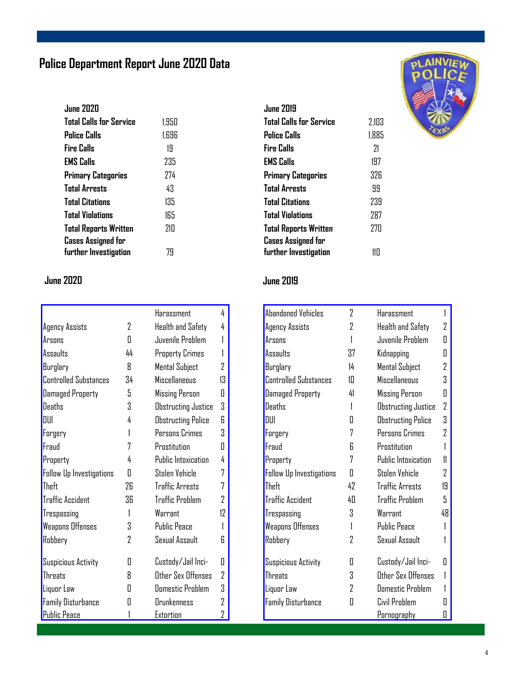### **Police Department Report June 2020 Data**

| <b>June 2020</b>               |       |
|--------------------------------|-------|
| <b>Total Calls for Service</b> | 1.950 |
| <b>Police Calls</b>            | 1.696 |
| <b>Fire Calls</b>              | 19    |
| <b>EMS Calls</b>               | 235   |
| <b>Primary Categories</b>      | 774   |
| <b>Total Arrests</b>           | 43    |
| <b>Total Citations</b>         | 135   |
| <b>Total Violations</b>        | 165   |
| <b>Total Reports Written</b>   | 210   |
| <b>Cases Assigned for</b>      |       |
| further Investigation          | 79    |

#### **June 2020 June 2019**

|                              |    | Harassment                | 4              |
|------------------------------|----|---------------------------|----------------|
| Agency Assists               | 2  | Health and Safety         | 4              |
| Arsons                       | Π  | Juvenile Problem          |                |
| Assaults                     | 44 | Property Crimes           |                |
| Burglary                     | Я  | Mental Subject            | 2              |
| <b>Controlled Substances</b> | 34 | Miscellaneous             | 13             |
| <b>Damaged Property</b>      | 5  | <b>Missing Person</b>     | Π              |
| <b>Deaths</b>                | 3  | Obstructing Justice       | 3              |
| DIII                         | 4  | <b>Obstructing Police</b> | R              |
| Forgery                      | 1  | Persons Crimes            | Χ              |
| Fraud                        | 7  | Prostitution              | Π              |
| Property                     | 4  | Public Intoxication       | 4              |
| Follow Up Investigations     | Π  | Stolen Vehicle            | 7              |
| Theft                        | 76 | <b>Traffic Arrests</b>    | 7              |
| <b>Traffic Accident</b>      | 36 | <b>Traffic Problem</b>    | $\overline{2}$ |
| Trespassing                  | 1  | Warrant                   | 17             |
| Weapons Offenses             | 3  | <b>Public Peace</b>       | 1              |
| Robbery                      | 7  | Sexual Assault            | 6              |
| Suspicious Activity          | П  | Custody/Jail Inci-        | П              |
| <b>Threats</b>               | 8  | Other Sex Offenses        | 2              |
| Liquor Law                   | Π  | <b>Domestic Problem</b>   | 3              |
| <b>Family Disturbance</b>    | П  | Drunkenness               | 7              |
| <b>Public Peace</b>          |    | Extortion                 | 2              |

#### **June 2019 Total Calls for Service** 2,103 **Police Calls** 1,885 **Fire Calls** 21 **EMS Calls** 197 **Primary Categories** 326 **Total Arrests** 99 **Total Citations** 239 **Total Violations** 287 **Total Reports Written** 270 **Cases Assigned for further Investigation** 110

| <b>Abandoned Vehicles</b>       | $\overline{2}$ | Harassment                 |     |
|---------------------------------|----------------|----------------------------|-----|
| <b>Agency Assists</b>           | 2              | Health and Safety          | 2   |
| Arsons                          | 1              | Juvenile Problem           | Π   |
| Assaults                        | 37             | Kidnapping                 | Π   |
| Burglary                        | 14             | Mental Subject             | 7   |
| <b>Controlled Substances</b>    | 1П             | <b>Miscellaneous</b>       | S.  |
| <b>Damaged Property</b>         | 41             | Missing Person             | Π   |
| <b>Deaths</b>                   | 1              | <b>Obstructing Justice</b> | 2   |
| DUI                             | П              | <b>Obstructing Police</b>  | 3   |
| Forgery                         | 7              | Persons Crimes             | 7   |
| Fraud                           | R              | Prnstitutinn               |     |
| Property                        | 7              | <b>Public Intoxication</b> | 11  |
| <b>Follow Up Investigations</b> | Π              | Stolen Vehicle             | 2   |
| Theft                           | 42             | <b>Traffic Arrests</b>     | 1.9 |
| <b>Traffic Accident</b>         | 40             | <b>Traffic Problem</b>     | 5   |
| Trespassing                     | 3              | Warrant                    | 48  |
| <b>Weapons Offenses</b>         | 1              | <b>Public Peace</b>        |     |
| Robbery                         | 7              | Sexual Assault             |     |
| Suspicious Activity             | П              | Custody/Jail Inci-         | Ш   |
| Threats                         | 3              | Other Sex Offenses         |     |
| Liquor Law                      | 7              | <b>Domestic Problem</b>    |     |
| <b>Family Disturbance</b>       | П              | Civil Problem              |     |
|                                 |                | Pornography                | П   |

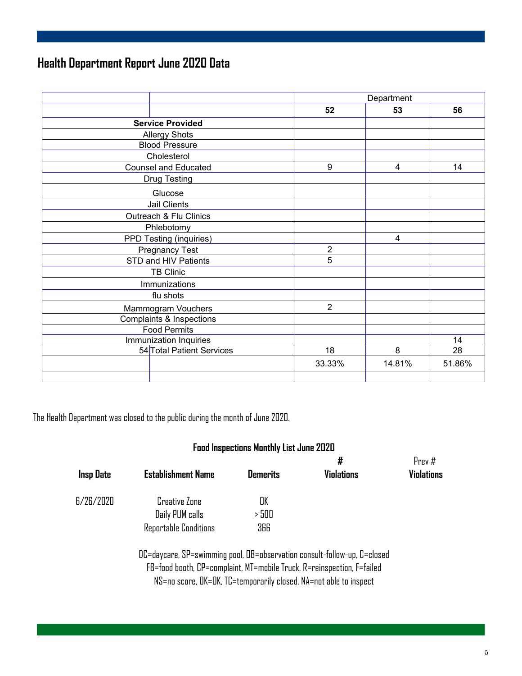### **Health Department Report June 2020 Data**

|                             |                  | Department     |        |
|-----------------------------|------------------|----------------|--------|
|                             | 52               | 53             | 56     |
| <b>Service Provided</b>     |                  |                |        |
| <b>Allergy Shots</b>        |                  |                |        |
| <b>Blood Pressure</b>       |                  |                |        |
| Cholesterol                 |                  |                |        |
| <b>Counsel and Educated</b> | $\boldsymbol{9}$ | $\overline{4}$ | 14     |
| <b>Drug Testing</b>         |                  |                |        |
| Glucose                     |                  |                |        |
| Jail Clients                |                  |                |        |
| Outreach & Flu Clinics      |                  |                |        |
| Phlebotomy                  |                  |                |        |
| PPD Testing (inquiries)     |                  | $\overline{4}$ |        |
| <b>Pregnancy Test</b>       | $\overline{2}$   |                |        |
| STD and HIV Patients        | 5                |                |        |
| <b>TB Clinic</b>            |                  |                |        |
| Immunizations               |                  |                |        |
| flu shots                   |                  |                |        |
| Mammogram Vouchers          | $\overline{2}$   |                |        |
| Complaints & Inspections    |                  |                |        |
| <b>Food Permits</b>         |                  |                |        |
| Immunization Inquiries      |                  |                | 14     |
| 54 Total Patient Services   | 18               | 8              | 28     |
|                             | 33.33%           | 14.81%         | 51.86% |
|                             |                  |                |        |

The Health Department was closed to the public during the month of June 2020.

#### **Food Inspections Monthly List June 2020**

| <b>Insp Date</b> | <b>Establishment Name</b>                                               | <b>Demerits</b> | #<br><b>Violations</b> | Prev#<br><b>Violations</b> |
|------------------|-------------------------------------------------------------------------|-----------------|------------------------|----------------------------|
| 6/26/2020        | <b>Creative Zone</b>                                                    | OK              |                        |                            |
|                  | Daily PUM calls                                                         | > 500           |                        |                            |
|                  | <b>Reportable Conditions</b>                                            | 366             |                        |                            |
|                  | DP-dayaana, 50-awimming nool DR-aboonyation aangult-follow-un, P-alaand |                 |                        |                            |

DC=daycare, SP=swimming pool, OB=observation consult-follow-up, C=closed FB=food booth, CP=complaint, MT=mobile Truck, R=reinspection, F=failed NS=no score, OK=OK, TC=temporarily closed, NA=not able to inspect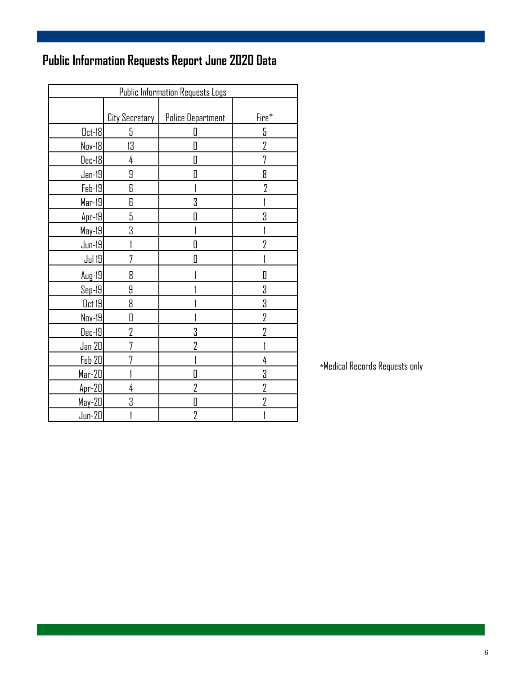### **Public Information Requests Report June 2020 Data**

| <b>Public Information Requests Logs</b> |                |                          |                |  |  |
|-----------------------------------------|----------------|--------------------------|----------------|--|--|
|                                         |                |                          |                |  |  |
|                                         | City Secretary | <b>Police Department</b> | Fire*          |  |  |
| $0$ ct-18                               | 5              | П                        | 5              |  |  |
| Nov-18                                  | 13             | П                        | $\overline{2}$ |  |  |
| Dec-18                                  | 4              | Π                        | 7              |  |  |
| Jan-19                                  | 9              | П                        | 8              |  |  |
| Feb-19                                  | 6              |                          | $\overline{2}$ |  |  |
| $Mar-19$                                | 6              | 3                        |                |  |  |
| $Apr-19$                                | 5              | П                        | 3              |  |  |
| May-19                                  | 3              |                          |                |  |  |
| $Jun-19$                                |                |                          | 7              |  |  |
| <b>Jul 19</b>                           | 7              | Π                        |                |  |  |
| $Auq-19$                                | 8              |                          | П              |  |  |
| $Sep-19$                                | 9              |                          | 3              |  |  |
| <u>Oct 19</u>                           | 8              |                          | 3              |  |  |
| Nov-19                                  | 0              |                          | $\overline{2}$ |  |  |
| Dec-19                                  | 2              | 3                        | 7              |  |  |
| Jan 20                                  | 7              | 2                        |                |  |  |
| <b>Feb 20</b>                           | 7              |                          | 4              |  |  |
| Mar-20                                  |                | D                        | 3              |  |  |
| $Apr-20$                                | 4              | 2                        | $\overline{2}$ |  |  |
| $May-20$                                | 3              | D                        | 2              |  |  |
| $Jun-20$                                |                | $\overline{2}$           |                |  |  |

 $\,$ \*Medical Records Requests only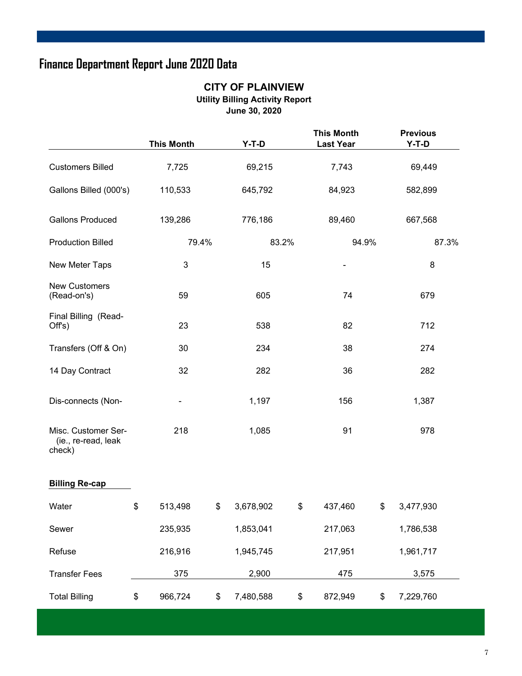### **Finance Department Report June 2020 Data**

#### **CITY OF PLAINVIEW Utility Billing Activity Report June 30, 2020**

|                                                      | <b>This Month</b> |       | $Y-T-D$   | <b>This Month</b><br><b>Last Year</b> |    | <b>Previous</b><br>$Y-T-D$ |  |
|------------------------------------------------------|-------------------|-------|-----------|---------------------------------------|----|----------------------------|--|
| <b>Customers Billed</b>                              | 7,725             |       | 69,215    | 7,743                                 |    | 69,449                     |  |
| Gallons Billed (000's)                               | 110,533           |       | 645,792   | 84,923                                |    | 582,899                    |  |
| <b>Gallons Produced</b>                              | 139,286           |       | 776,186   | 89,460                                |    | 667,568                    |  |
| <b>Production Billed</b>                             |                   | 79.4% | 83.2%     | 94.9%                                 |    | 87.3%                      |  |
| New Meter Taps                                       | 3                 |       | 15        |                                       |    | 8                          |  |
| <b>New Customers</b><br>(Read-on's)                  | 59                |       | 605       | 74                                    |    | 679                        |  |
| Final Billing (Read-<br>Off's)                       | 23                |       | 538       | 82                                    |    | 712                        |  |
| Transfers (Off & On)                                 | 30                |       | 234       | 38                                    |    | 274                        |  |
| 14 Day Contract                                      | 32                |       | 282       | 36                                    |    | 282                        |  |
| Dis-connects (Non-                                   |                   |       | 1,197     | 156                                   |    | 1,387                      |  |
| Misc. Customer Ser-<br>(ie., re-read, leak<br>check) | 218               |       | 1,085     | 91                                    |    | 978                        |  |
| <b>Billing Re-cap</b>                                |                   |       |           |                                       |    |                            |  |
| Water                                                | \$<br>513,498     | \$    | 3,678,902 | \$<br>437,460                         | \$ | 3,477,930                  |  |
| Sewer                                                | 235,935           |       | 1,853,041 | 217,063                               |    | 1,786,538                  |  |
| Refuse                                               | 216,916           |       | 1,945,745 | 217,951                               |    | 1,961,717                  |  |
| <b>Transfer Fees</b>                                 | 375               |       | 2,900     | 475                                   |    | 3,575                      |  |
| <b>Total Billing</b>                                 | \$<br>966,724     | \$    | 7,480,588 | \$<br>872,949                         | \$ | 7,229,760                  |  |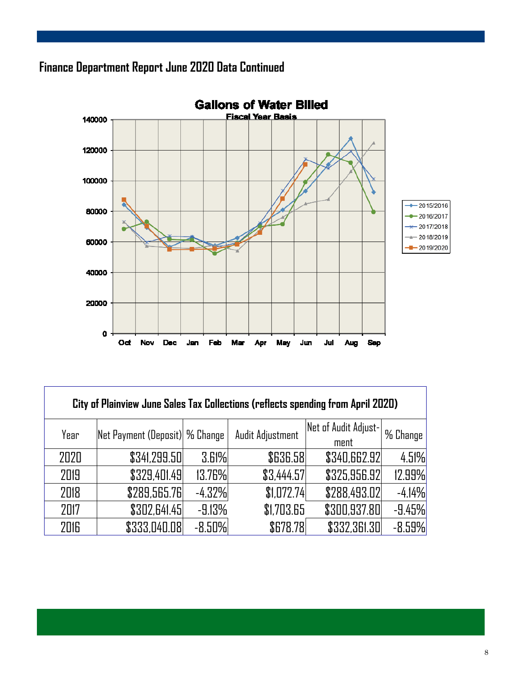### **Finance Department Report June 2020 Data Continued**



| City of Plainview June Sales Tax Collections (reflects spending from April 2020) |                                 |          |                  |                              |          |  |  |
|----------------------------------------------------------------------------------|---------------------------------|----------|------------------|------------------------------|----------|--|--|
| Year                                                                             | Net Payment (Deposit)  % Change |          | Audit Adjustment | Net of Audit Adjust-<br>ment | % Change |  |  |
| 2020                                                                             | \$341,299.50                    | 3.61%    | \$636.58         | \$340,662.92                 | 4.51%    |  |  |
| 2019                                                                             | \$329,401.49                    | 13.76%   | \$3,444.57       | \$325,956.92                 | 12.99%   |  |  |
| 2018                                                                             | \$289,565.76                    | $-4.32%$ | \$1,072.74       | \$288,493.02                 | $-4.14%$ |  |  |
| 2017                                                                             | \$302,641.45                    | $-9.13%$ | \$1,703.65       | \$300,937.80                 | $-9.45%$ |  |  |
| 2016                                                                             | \$333,040.08                    | $-8.50%$ | \$678.78         | \$332,361.30                 | $-8.59%$ |  |  |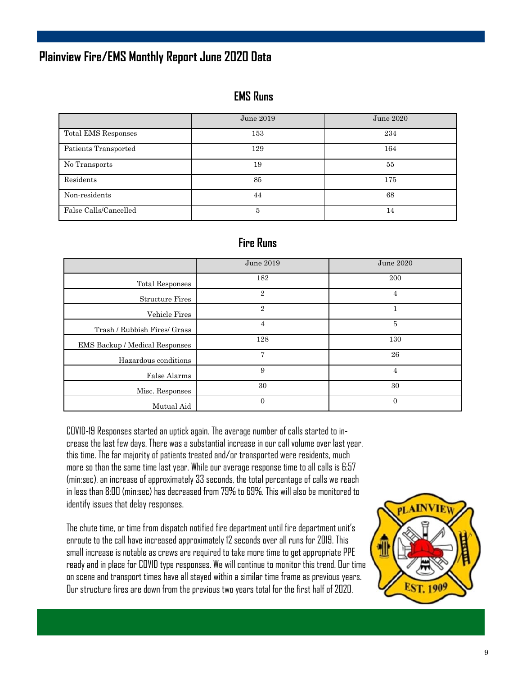### **Plainview Fire/EMS Monthly Report June 2020 Data**

#### **EMS Runs**

|                       | June 2019 | June 2020 |
|-----------------------|-----------|-----------|
| Total EMS Responses   | 153       | 234       |
| Patients Transported  | 129       | 164       |
| No Transports         | 19        | 55        |
| Residents             | 85        | 175       |
| Non-residents         | 44        | 68        |
| False Calls/Cancelled | 5         | 14        |

### **Fire Runs**

|                                | June 2019      | June 2020      |
|--------------------------------|----------------|----------------|
| <b>Total Responses</b>         | 182            | 200            |
| <b>Structure Fires</b>         | $\overline{2}$ | 4              |
| Vehicle Fires                  | $\overline{2}$ |                |
| Trash / Rubbish Fires/ Grass   | 4              | $\overline{5}$ |
| EMS Backup / Medical Responses | 128            | 130            |
| Hazardous conditions           | 7              | 26             |
| False Alarms                   | 9              | 4              |
| Misc. Responses                | 30             | 30             |
| Mutual Aid                     | $\Omega$       | $\overline{0}$ |

COVID-19 Responses started an uptick again. The average number of calls started to increase the last few days. There was a substantial increase in our call volume over last year, this time. The far majority of patients treated and/or transported were residents, much more so than the same time last year. While our average response time to all calls is 6:57 (min:sec), an increase of approximately 33 seconds, the total percentage of calls we reach in less than 8:00 (min:sec) has decreased from 79% to 69%. This will also be monitored to identify issues that delay responses.

The chute time, or time from dispatch notified fire department until fire department unit's enroute to the call have increased approximately 12 seconds over all runs for 2019. This small increase is notable as crews are required to take more time to get appropriate PPE ready and in place for COVID type responses. We will continue to monitor this trend. Our time on scene and transport times have all stayed within a similar time frame as previous years. Our structure fires are down from the previous two years total for the first half of 2020.

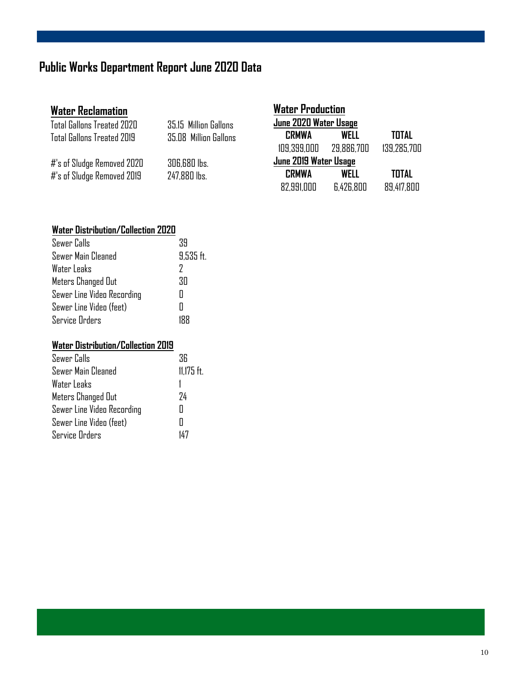### **Public Works Department Report June 2020 Data**

| <b>Water Reclamation</b>      |                       | <b>Water Production</b> |            |              |
|-------------------------------|-----------------------|-------------------------|------------|--------------|
| Total Gallons Treated 2020    | 35.15 Million Gallons | June 2020 Water Usage   |            |              |
| Total Gallons Treated 2019    | 35.08 Million Gallons | <b>CRMWA</b>            | WELL       | <b>TOTAL</b> |
|                               |                       | 109.399.000             | 29.886.700 | 139.285.700  |
| #'s of Sludge Removed 2020    | 306,680 lbs.          | June 2019 Water Usage   |            |              |
| $#$ 's of Sludge Removed 2019 | 247,880 lbs.          | <b>CRMWA</b>            | WELL       | <b>TOTAL</b> |
|                               |                       | 82.991.000              | 6.426.800  | 89.417.800   |

### **Water Distribution/Collection 2020**

| 39          |
|-------------|
| $9.535$ ft. |
| 7           |
| RП          |
| Ш           |
|             |
|             |
|             |

#### **Water Distribution/Collection 2019**

| Sewer Calls                | ЗR           |
|----------------------------|--------------|
| Sewer Main Cleaned         | $11,175$ ft. |
| Water Leaks                |              |
| Meters Changed Out         | 74           |
| Sewer Line Video Recording |              |
| Sewer Line Video (feet)    |              |
| <b>Service Orders</b>      | 147          |
|                            |              |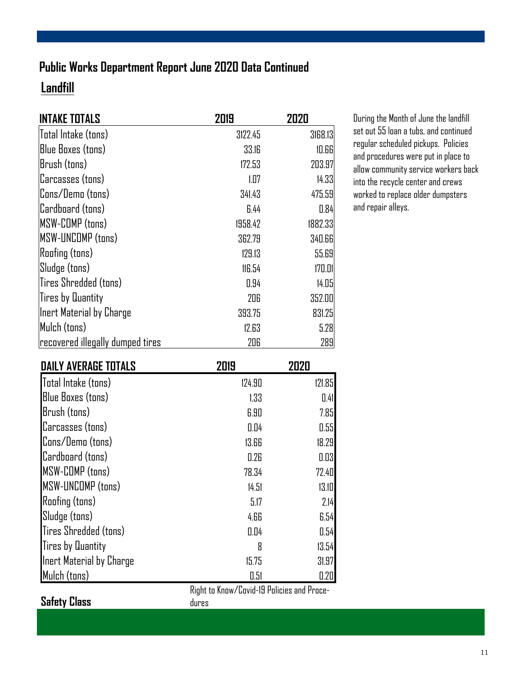### **Landfill Public Works Department Report June 2020 Data Continued**

| <b>INTAKE TOTALS</b>             | 2019    | 2020    |
|----------------------------------|---------|---------|
| Total Intake (tons)              | 3122.45 | 3168.13 |
| <b>Blue Boxes (tons)</b>         | 33.IG   | 10.66   |
| Brush (tons)                     | 172.53  | 203.97  |
| Carcasses (tons)                 | 1.07    | 14.33   |
| Cons/Demo (tons)                 | 341.43  | 475.59  |
| Cardboard (tons)                 | 6.44    | 0.84    |
| <b>MSW-COMP</b> (tons)           | 1958.42 | 1882.33 |
| <b>MSW-UNCOMP</b> (tons)         | 362.79  | 340.66  |
| <b>Roofing (tons)</b>            | 129.13  | 55.69   |
| Sludge (tons)                    | 116.54  | 170.01  |
| Tires Shredded (tons)            | 0.94    | 14.05   |
| Tires by Quantity                | 206     | 352.00  |
| Inert Material by Charge         | 393.75  | 831.25  |
| Mulch (tons)                     | 12.63   | 5.28    |
| recovered illegally dumped tires | 206     | 289     |

During the Month of June the landfill set out 55 loan a tubs, and continued regular scheduled pickups. Policies and procedures were put in place to allow community service workers back into the recycle center and crews worked to replace older dumpsters and repair alleys.

| <b>DAILY AVERAGE TOTALS</b> | 2019   | 2020   |
|-----------------------------|--------|--------|
| Total Intake (tons)         | 124.90 | 121.85 |
| <b>Blue Boxes (tons)</b>    | 1.33   | 0.41   |
| Brush (tons)                | 6.90   | 7.85   |
| Carcasses (tons)            | 0.04   | 0.55   |
| Cons/Demo (tons)            | 13.66  | 18.29  |
| Cardboard (tons)            | 0.26   | 0.03   |
| <b>MSW-COMP</b> (tons)      | 78.34  | 72.40  |
| MSW-UNCOMP (tons)           | 14.51  | 13.10  |
| <b>Roofing (tons)</b>       | 5.17   | 2.14   |
| Sludge (tons)               | 4.66   | 6.54   |
| Tires Shredded (tons)       | 0.04   | 0.54   |
| <b>Tires by Quantity</b>    | 8      | 13.54  |
| Inert Material by Charge    | 15.75  | 31.97  |
| Mulch (tons)                | 0.51   | 0.20   |

dures

Right to Know/Covid-19 Policies and Proce-

**Safety Class**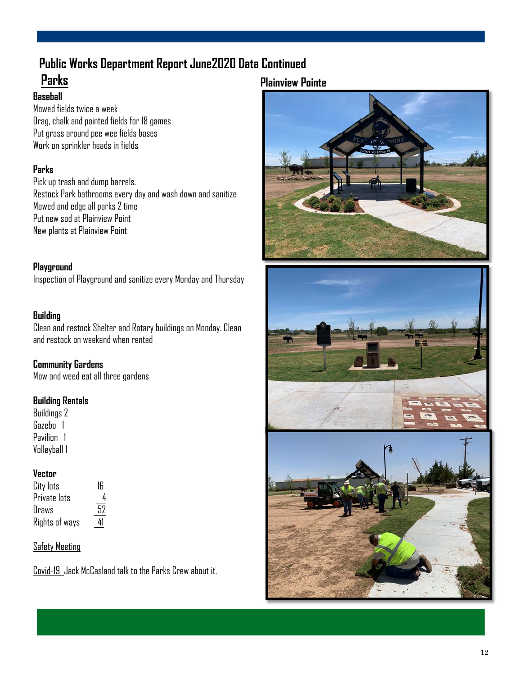## **Public Works Department Report June2020 Data Continued**

### **Parks**

#### **Plainview Pointe**

#### **Baseball**

Mowed fields twice a week Drag, chalk and painted fields for 18 games Put grass around pee wee fields bases Work on sprinkler heads in fields

#### **Parks**

Pick up trash and dump barrels. Restock Park bathrooms every day and wash down and sanitize Mowed and edge all parks 2 time Put new sod at Plainview Point New plants at Plainview Point

#### **Playground**

Inspection of Playground and sanitize every Monday and Thursday

#### **Building**

Clean and restock Shelter and Rotary buildings on Monday. Clean and restock on weekend when rented

**Community Gardens**  Mow and weed eat all three gardens

#### **Building Rentals**

Buildings 2 Gazebo 1 Pavilion 1 Volleyball 1

#### **Vector**

| City lots      | 16 |
|----------------|----|
| Private lots   | 4  |
| Draws          | 52 |
| Rights of ways | 41 |

#### Safety Meeting

Covid-19 Jack McCasland talk to the Parks Crew about it.





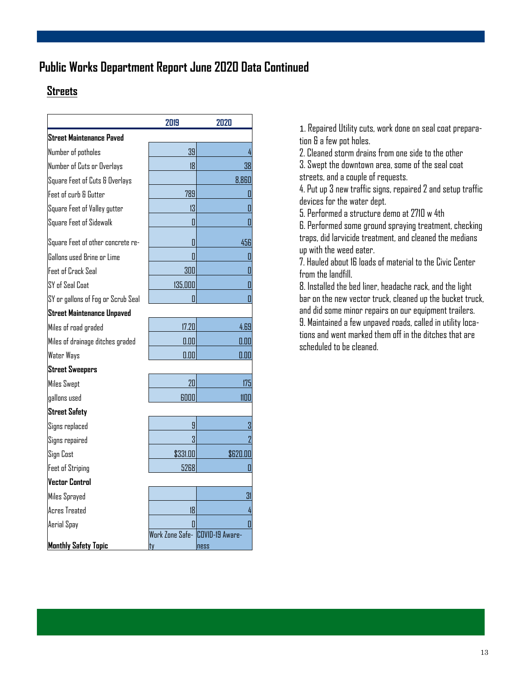### **Public Works Department Report June 2020 Data Continued**

### **Streets**

| 2019     | 2020                                         |
|----------|----------------------------------------------|
|          |                                              |
| 39       | 4                                            |
| 18       | 38                                           |
|          | 8,860                                        |
| 789      | U                                            |
| 13       | O                                            |
| 0        | Π                                            |
| Π        | 456                                          |
| Π        | 0                                            |
| 300      | П                                            |
| 135,000  | П                                            |
| Π        | Π                                            |
|          |                                              |
| 17.20    | 4.69                                         |
| 0.00     | 0.00                                         |
| 0.00     | 0.00                                         |
|          |                                              |
| 20       | 175                                          |
| 6000     | 1100                                         |
|          |                                              |
| 9        | 3                                            |
| 3        | $\overline{2}$                               |
| \$331.00 | \$620.00                                     |
| 5268     | Π                                            |
|          |                                              |
|          | 31                                           |
| 18       | 4                                            |
| П        | Π                                            |
|          | <b>ness</b>                                  |
|          | Work Zone Safe- <b>COVID-19</b> Aware-<br>ty |

1. Repaired Utility cuts, work done on seal coat preparation & a few pot holes.

2. Cleaned storm drains from one side to the other 3. Swept the downtown area, some of the seal coat streets, and a couple of requests.

4. Put up 3 new traffic signs, repaired 2 and setup traffic devices for the water dept.

5. Performed a structure demo at 2710 w 4th

6. Performed some ground spraying treatment, checking traps, did larvicide treatment, and cleaned the medians up with the weed eater.

7. Hauled about 16 loads of material to the Civic Center from the landfill.

8. Installed the bed liner, headache rack, and the light bar on the new vector truck, cleaned up the bucket truck, and did some minor repairs on our equipment trailers. 9. Maintained a few unpaved roads, called in utility locations and went marked them off in the ditches that are scheduled to be cleaned.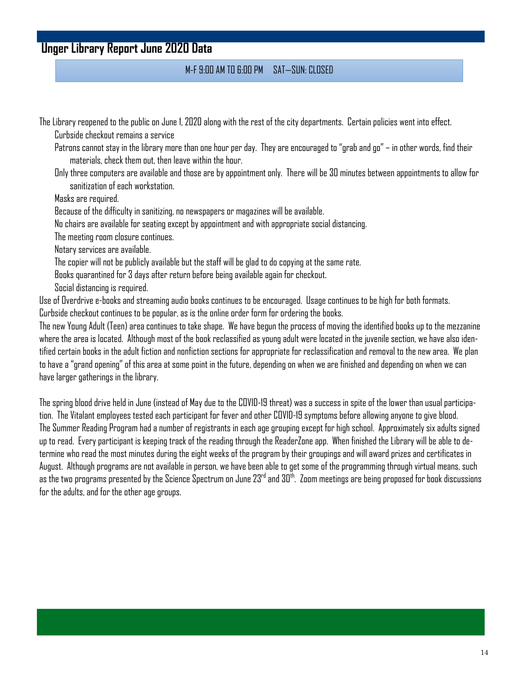### **Unger Library Report June 2020 Data**

#### M-F 9:00 AM TO 6:00 PM SAT—SUN: CLOSED

The Library reopened to the public on June 1, 2020 along with the rest of the city departments. Certain policies went into effect.

Curbside checkout remains a service

Patrons cannot stay in the library more than one hour per day. They are encouraged to "grab and go" – in other words, find their materials, check them out, then leave within the hour.

Only three computers are available and those are by appointment only. There will be 30 minutes between appointments to allow for sanitization of each workstation.

Masks are required.

Because of the difficulty in sanitizing, no newspapers or magazines will be available.

No chairs are available for seating except by appointment and with appropriate social distancing.

The meeting room closure continues.

Notary services are available.

The copier will not be publicly available but the staff will be glad to do copying at the same rate.

Books quarantined for 3 days after return before being available again for checkout.

Social distancing is required.

Use of Overdrive e-books and streaming audio books continues to be encouraged. Usage continues to be high for both formats.

Curbside checkout continues to be popular, as is the online order form for ordering the books.

The new Young Adult (Teen) area continues to take shape. We have begun the process of moving the identified books up to the mezzanine where the area is located. Although most of the book reclassified as young adult were located in the juvenile section, we have also identified certain books in the adult fiction and nonfiction sections for appropriate for reclassification and removal to the new area. We plan to have a "grand opening" of this area at some point in the future, depending on when we are finished and depending on when we can have larger gatherings in the library.

The spring blood drive held in June (instead of May due to the COVID-19 threat) was a success in spite of the lower than usual participation. The Vitalant employees tested each participant for fever and other COVID-19 symptoms before allowing anyone to give blood. The Summer Reading Program had a number of registrants in each age grouping except for high school. Approximately six adults signed up to read. Every participant is keeping track of the reading through the ReaderZone app. When finished the Library will be able to determine who read the most minutes during the eight weeks of the program by their groupings and will award prizes and certificates in August. Although programs are not available in person, we have been able to get some of the programming through virtual means, such as the two programs presented by the Science Spectrum on June 23<sup>rd</sup> and 30<sup>th</sup>. Zoom meetings are being proposed for book discussions for the adults, and for the other age groups.